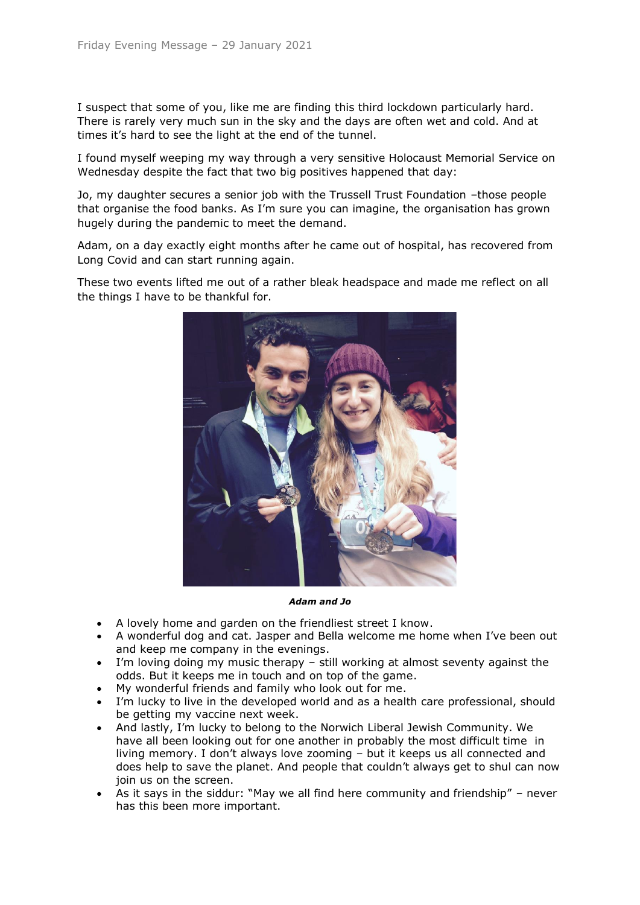I suspect that some of you, like me are finding this third lockdown particularly hard. There is rarely very much sun in the sky and the days are often wet and cold. And at times it's hard to see the light at the end of the tunnel.

I found myself weeping my way through a very sensitive Holocaust Memorial Service on Wednesday despite the fact that two big positives happened that day:

Jo, my daughter secures a senior job with the Trussell Trust Foundation –those people that organise the food banks. As I'm sure you can imagine, the organisation has grown hugely during the pandemic to meet the demand.

Adam, on a day exactly eight months after he came out of hospital, has recovered from Long Covid and can start running again.

These two events lifted me out of a rather bleak headspace and made me reflect on all the things I have to be thankful for.



*Adam and Jo*

- A lovely home and garden on the friendliest street I know.
- A wonderful dog and cat. Jasper and Bella welcome me home when I've been out and keep me company in the evenings.
- I'm loving doing my music therapy still working at almost seventy against the odds. But it keeps me in touch and on top of the game.
- My wonderful friends and family who look out for me.
- I'm lucky to live in the developed world and as a health care professional, should be getting my vaccine next week.
- And lastly, I'm lucky to belong to the Norwich Liberal Jewish Community. We have all been looking out for one another in probably the most difficult time in living memory. I don't always love zooming – but it keeps us all connected and does help to save the planet. And people that couldn't always get to shul can now join us on the screen.
- As it says in the siddur: "May we all find here community and friendship" never has this been more important.